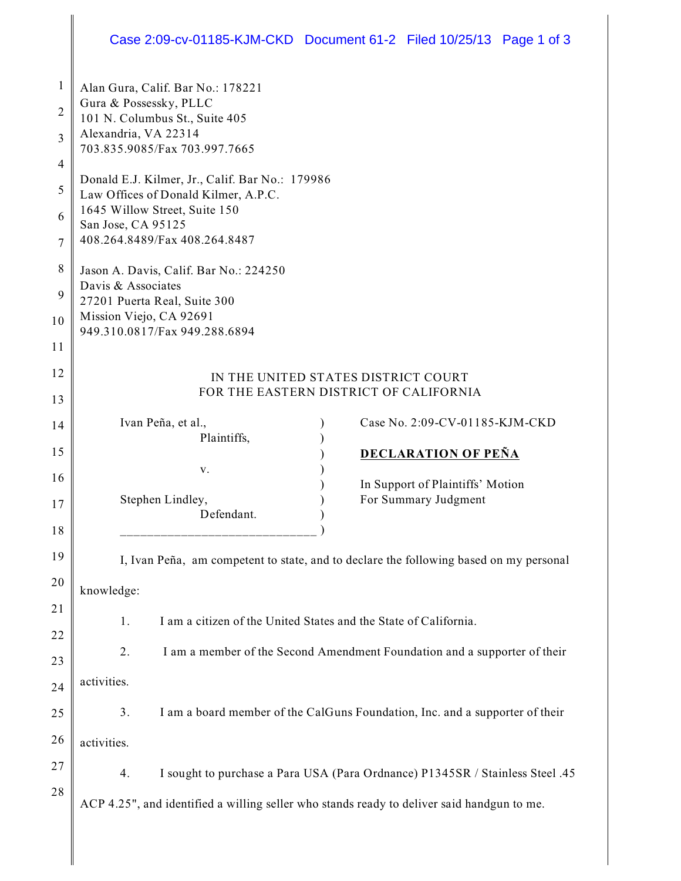## Case 2:09-cv-01185-KJM-CKD Document 61-2 Filed 10/25/13 Page 1 of 3

| 1              | Alan Gura, Calif. Bar No.: 178221<br>Gura & Possessky, PLLC                                |
|----------------|--------------------------------------------------------------------------------------------|
| $\overline{2}$ | 101 N. Columbus St., Suite 405<br>Alexandria, VA 22314                                     |
| 3              | 703.835.9085/Fax 703.997.7665                                                              |
| 4<br>5         | Donald E.J. Kilmer, Jr., Calif. Bar No.: 179986                                            |
| 6              | Law Offices of Donald Kilmer, A.P.C.<br>1645 Willow Street, Suite 150                      |
| 7              | San Jose, CA 95125<br>408.264.8489/Fax 408.264.8487                                        |
| 8              | Jason A. Davis, Calif. Bar No.: 224250                                                     |
| 9              | Davis & Associates<br>27201 Puerta Real, Suite 300                                         |
| 10             | Mission Viejo, CA 92691<br>949.310.0817/Fax 949.288.6894                                   |
| 11             |                                                                                            |
| 12             | IN THE UNITED STATES DISTRICT COURT<br>FOR THE EASTERN DISTRICT OF CALIFORNIA              |
| 13             |                                                                                            |
| 14             | Ivan Peña, et al.,<br>Case No. 2:09-CV-01185-KJM-CKD<br>Plaintiffs,                        |
| 15             | <b>DECLARATION OF PEÑA</b>                                                                 |
| 16             | v.<br>In Support of Plaintiffs' Motion                                                     |
| 17             | Stephen Lindley,<br>For Summary Judgment                                                   |
|                | Defendant.                                                                                 |
| 18<br>19       |                                                                                            |
| 20             | I, Ivan Peña, am competent to state, and to declare the following based on my personal     |
| 21             | knowledge:                                                                                 |
| 22             | I am a citizen of the United States and the State of California.<br>1.                     |
| 23             | 2.<br>I am a member of the Second Amendment Foundation and a supporter of their            |
| 24             | activities.                                                                                |
| 25             | 3.<br>I am a board member of the CalGuns Foundation, Inc. and a supporter of their         |
| 26             | activities.                                                                                |
| 27             | 4.<br>I sought to purchase a Para USA (Para Ordnance) P1345SR / Stainless Steel .45        |
| 28             | ACP 4.25", and identified a willing seller who stands ready to deliver said handgun to me. |
|                |                                                                                            |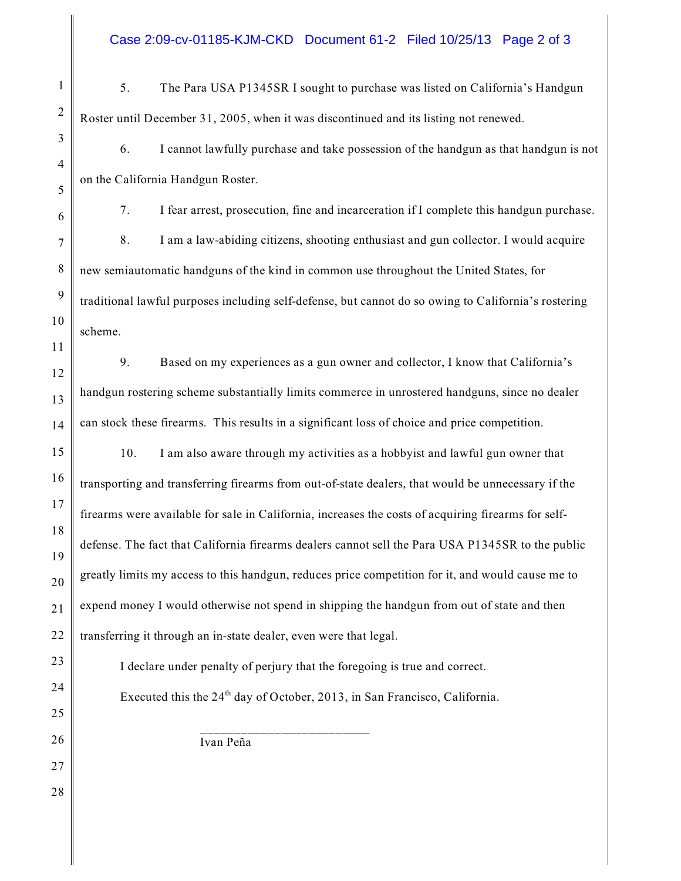## Case 2:09-cv-01185-KJM-CKD Document 61-2 Filed 10/25/13 Page 2 of 3

5. The Para USA P1345SR I sought to purchase was listed on California's Handgun Roster until December 31, 2005, when it was discontinued and its listing not renewed.

6. I cannot lawfully purchase and take possession of the handgun as that handgun is not on the California Handgun Roster.

7. I fear arrest, prosecution, fine and incarceration if I complete this handgun purchase. 8. I am a law-abiding citizens, shooting enthusiast and gun collector. I would acquire new semiautomatic handguns of the kind in common use throughout the United States, for traditional lawful purposes including self-defense, but cannot do so owing to California's rostering scheme.

9. Based on my experiences as a gun owner and collector, I know that California's handgun rostering scheme substantially limits commerce in unrostered handguns, since no dealer can stock these firearms. This results in a significant loss of choice and price competition.

10. I am also aware through my activities as a hobbyist and lawful gun owner that transporting and transferring firearms from out-of-state dealers, that would be unnecessary if the firearms were available for sale in California, increases the costs of acquiring firearms for selfdefense. The fact that California firearms dealers cannot sell the Para USA P1345SR to the public greatly limits my access to this handgun, reduces price competition for it, and would cause me to expend money I would otherwise not spend in shipping the handgun from out of state and then transferring it through an in-state dealer, even were that legal.

I declare under penalty of perjury that the foregoing is true and correct.

Executed this the  $24<sup>th</sup>$  day of October, 2013, in San Francisco, California.

\_\_\_\_\_\_\_\_\_\_\_\_\_\_\_\_\_\_\_\_\_\_\_\_\_ Ivan Peña

1

2

3

4

5

6

7

8

9

10